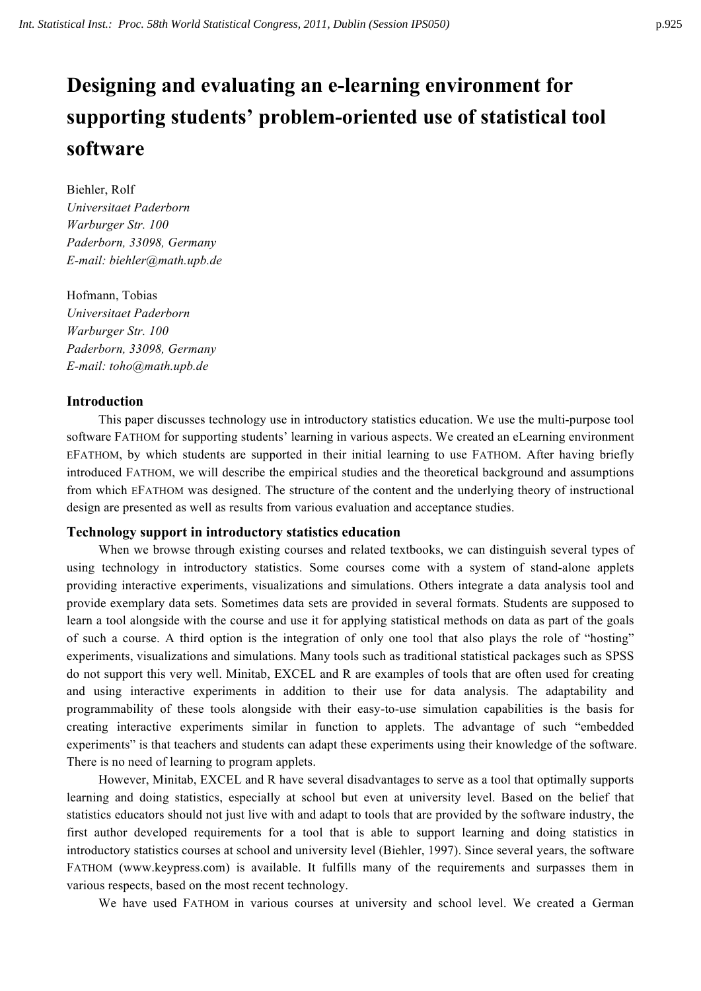# **Designing and evaluating an e-learning environment for supporting students' problem-oriented use of statistical tool software**

Biehler, Rolf *Universitaet Paderborn Warburger Str. 100 Paderborn, 33098, Germany E-mail: biehler@math.upb.de*

Hofmann, Tobias *Universitaet Paderborn Warburger Str. 100 Paderborn, 33098, Germany E-mail: toho@math.upb.de*

## **Introduction**

This paper discusses technology use in introductory statistics education. We use the multi-purpose tool software FATHOM for supporting students' learning in various aspects. We created an eLearning environment EFATHOM, by which students are supported in their initial learning to use FATHOM. After having briefly introduced FATHOM, we will describe the empirical studies and the theoretical background and assumptions from which EFATHOM was designed. The structure of the content and the underlying theory of instructional design are presented as well as results from various evaluation and acceptance studies.

#### **Technology support in introductory statistics education**

When we browse through existing courses and related textbooks, we can distinguish several types of using technology in introductory statistics. Some courses come with a system of stand-alone applets providing interactive experiments, visualizations and simulations. Others integrate a data analysis tool and provide exemplary data sets. Sometimes data sets are provided in several formats. Students are supposed to learn a tool alongside with the course and use it for applying statistical methods on data as part of the goals of such a course. A third option is the integration of only one tool that also plays the role of "hosting" experiments, visualizations and simulations. Many tools such as traditional statistical packages such as SPSS do not support this very well. Minitab, EXCEL and R are examples of tools that are often used for creating and using interactive experiments in addition to their use for data analysis. The adaptability and programmability of these tools alongside with their easy-to-use simulation capabilities is the basis for creating interactive experiments similar in function to applets. The advantage of such "embedded experiments" is that teachers and students can adapt these experiments using their knowledge of the software. There is no need of learning to program applets.

However, Minitab, EXCEL and R have several disadvantages to serve as a tool that optimally supports learning and doing statistics, especially at school but even at university level. Based on the belief that statistics educators should not just live with and adapt to tools that are provided by the software industry, the first author developed requirements for a tool that is able to support learning and doing statistics in introductory statistics courses at school and university level (Biehler, 1997). Since several years, the software FATHOM (www.keypress.com) is available. It fulfills many of the requirements and surpasses them in various respects, based on the most recent technology.

We have used FATHOM in various courses at university and school level. We created a German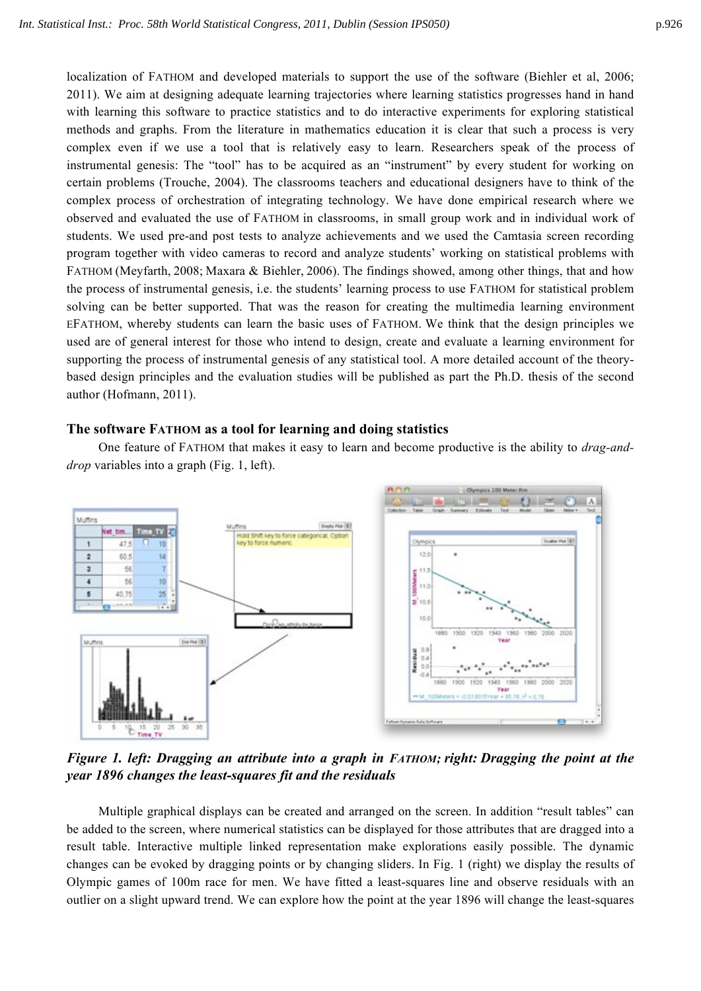localization of FATHOM and developed materials to support the use of the software (Biehler et al, 2006; 2011). We aim at designing adequate learning trajectories where learning statistics progresses hand in hand with learning this software to practice statistics and to do interactive experiments for exploring statistical methods and graphs. From the literature in mathematics education it is clear that such a process is very complex even if we use a tool that is relatively easy to learn. Researchers speak of the process of instrumental genesis: The "tool" has to be acquired as an "instrument" by every student for working on certain problems (Trouche, 2004). The classrooms teachers and educational designers have to think of the complex process of orchestration of integrating technology. We have done empirical research where we observed and evaluated the use of FATHOM in classrooms, in small group work and in individual work of students. We used pre-and post tests to analyze achievements and we used the Camtasia screen recording program together with video cameras to record and analyze students' working on statistical problems with FATHOM (Meyfarth, 2008; Maxara & Biehler, 2006). The findings showed, among other things, that and how the process of instrumental genesis, i.e. the students' learning process to use FATHOM for statistical problem solving can be better supported. That was the reason for creating the multimedia learning environment EFATHOM, whereby students can learn the basic uses of FATHOM. We think that the design principles we used are of general interest for those who intend to design, create and evaluate a learning environment for supporting the process of instrumental genesis of any statistical tool. A more detailed account of the theorybased design principles and the evaluation studies will be published as part the Ph.D. thesis of the second author (Hofmann, 2011).

#### **The software FATHOM as a tool for learning and doing statistics**

One feature of FATHOM that makes it easy to learn and become productive is the ability to *drag-anddrop* variables into a graph (Fig. 1, left).



*Figure 1. left: Dragging an attribute into a graph in FATHOM; right: Dragging the point at the year 1896 changes the least-squares fit and the residuals*

Multiple graphical displays can be created and arranged on the screen. In addition "result tables" can be added to the screen, where numerical statistics can be displayed for those attributes that are dragged into a result table. Interactive multiple linked representation make explorations easily possible. The dynamic changes can be evoked by dragging points or by changing sliders. In Fig. 1 (right) we display the results of Olympic games of 100m race for men. We have fitted a least-squares line and observe residuals with an outlier on a slight upward trend. We can explore how the point at the year 1896 will change the least-squares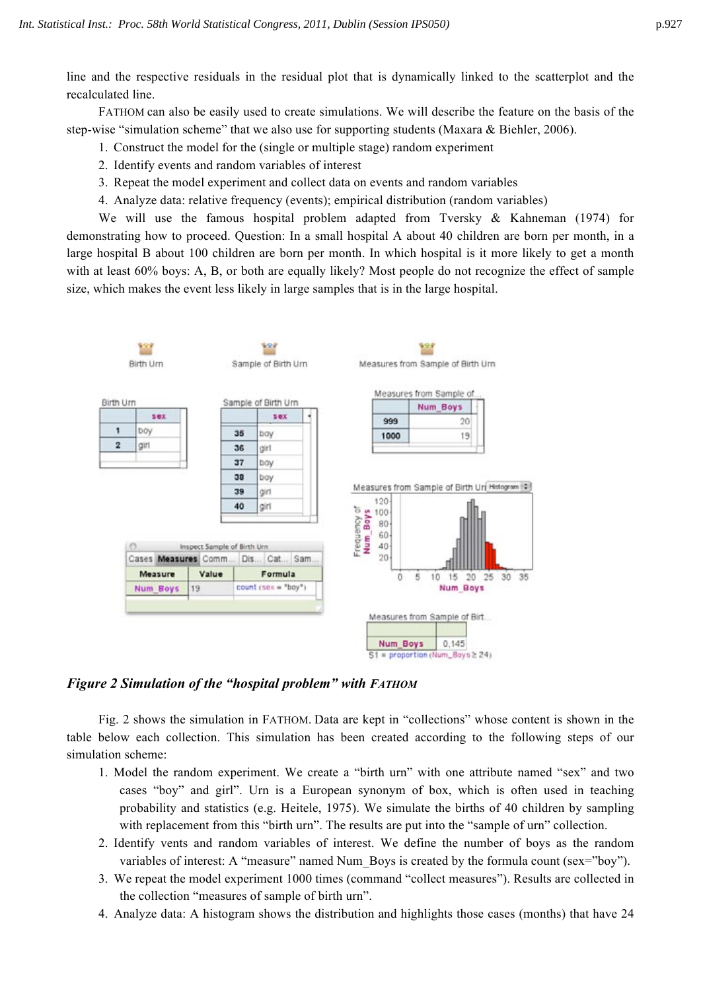line and the respective residuals in the residual plot that is dynamically linked to the scatterplot and the recalculated line.

FATHOM can also be easily used to create simulations. We will describe the feature on the basis of the step-wise "simulation scheme" that we also use for supporting students (Maxara & Biehler, 2006).

- 1. Construct the model for the (single or multiple stage) random experiment
- 2. Identify events and random variables of interest
- 3. Repeat the model experiment and collect data on events and random variables
- 4. Analyze data: relative frequency (events); empirical distribution (random variables)

We will use the famous hospital problem adapted from Tversky & Kahneman (1974) for demonstrating how to proceed. Question: In a small hospital A about 40 children are born per month, in a large hospital B about 100 children are born per month. In which hospital is it more likely to get a month with at least 60% boys: A, B, or both are equally likely? Most people do not recognize the effect of sample size, which makes the event less likely in large samples that is in the large hospital.



## *Figure 2 Simulation of the "hospital problem" with FATHOM*

Fig. 2 shows the simulation in FATHOM. Data are kept in "collections" whose content is shown in the table below each collection. This simulation has been created according to the following steps of our simulation scheme:

- 1. Model the random experiment. We create a "birth urn" with one attribute named "sex" and two cases "boy" and girl". Urn is a European synonym of box, which is often used in teaching probability and statistics (e.g. Heitele, 1975). We simulate the births of 40 children by sampling with replacement from this "birth urn". The results are put into the "sample of urn" collection.
- 2. Identify vents and random variables of interest. We define the number of boys as the random variables of interest: A "measure" named Num Boys is created by the formula count (sex="boy").
- 3. We repeat the model experiment 1000 times (command "collect measures"). Results are collected in the collection "measures of sample of birth urn".
- 4. Analyze data: A histogram shows the distribution and highlights those cases (months) that have 24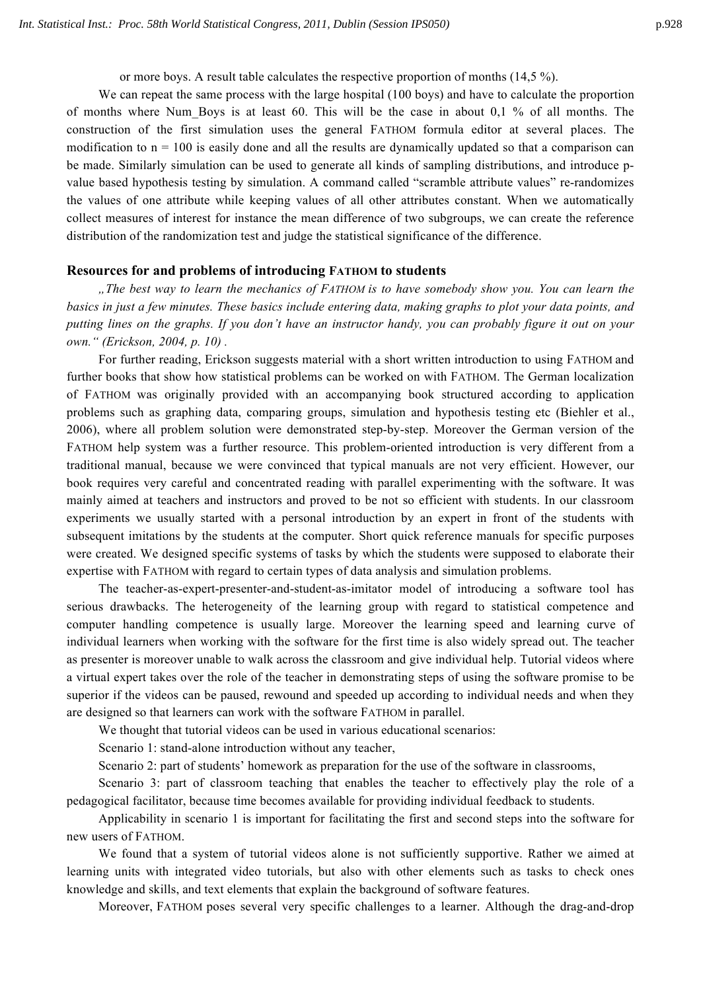or more boys. A result table calculates the respective proportion of months (14,5 %).

We can repeat the same process with the large hospital (100 boys) and have to calculate the proportion of months where Num Boys is at least 60. This will be the case in about 0,1 % of all months. The construction of the first simulation uses the general FATHOM formula editor at several places. The modification to  $n = 100$  is easily done and all the results are dynamically updated so that a comparison can be made. Similarly simulation can be used to generate all kinds of sampling distributions, and introduce pvalue based hypothesis testing by simulation. A command called "scramble attribute values" re-randomizes the values of one attribute while keeping values of all other attributes constant. When we automatically collect measures of interest for instance the mean difference of two subgroups, we can create the reference distribution of the randomization test and judge the statistical significance of the difference.

#### **Resources for and problems of introducing FATHOM to students**

*"The best way to learn the mechanics of FATHOM is to have somebody show you. You can learn the basics in just a few minutes. These basics include entering data, making graphs to plot your data points, and putting lines on the graphs. If you don't have an instructor handy, you can probably figure it out on your own." (Erickson, 2004, p. 10) .*

For further reading, Erickson suggests material with a short written introduction to using FATHOM and further books that show how statistical problems can be worked on with FATHOM. The German localization of FATHOM was originally provided with an accompanying book structured according to application problems such as graphing data, comparing groups, simulation and hypothesis testing etc (Biehler et al., 2006), where all problem solution were demonstrated step-by-step. Moreover the German version of the FATHOM help system was a further resource. This problem-oriented introduction is very different from a traditional manual, because we were convinced that typical manuals are not very efficient. However, our book requires very careful and concentrated reading with parallel experimenting with the software. It was mainly aimed at teachers and instructors and proved to be not so efficient with students. In our classroom experiments we usually started with a personal introduction by an expert in front of the students with subsequent imitations by the students at the computer. Short quick reference manuals for specific purposes were created. We designed specific systems of tasks by which the students were supposed to elaborate their expertise with FATHOM with regard to certain types of data analysis and simulation problems.

The teacher-as-expert-presenter-and-student-as-imitator model of introducing a software tool has serious drawbacks. The heterogeneity of the learning group with regard to statistical competence and computer handling competence is usually large. Moreover the learning speed and learning curve of individual learners when working with the software for the first time is also widely spread out. The teacher as presenter is moreover unable to walk across the classroom and give individual help. Tutorial videos where a virtual expert takes over the role of the teacher in demonstrating steps of using the software promise to be superior if the videos can be paused, rewound and speeded up according to individual needs and when they are designed so that learners can work with the software FATHOM in parallel.

We thought that tutorial videos can be used in various educational scenarios:

Scenario 1: stand-alone introduction without any teacher,

Scenario 2: part of students' homework as preparation for the use of the software in classrooms,

Scenario 3: part of classroom teaching that enables the teacher to effectively play the role of a pedagogical facilitator, because time becomes available for providing individual feedback to students.

Applicability in scenario 1 is important for facilitating the first and second steps into the software for new users of FATHOM.

We found that a system of tutorial videos alone is not sufficiently supportive. Rather we aimed at learning units with integrated video tutorials, but also with other elements such as tasks to check ones knowledge and skills, and text elements that explain the background of software features.

Moreover, FATHOM poses several very specific challenges to a learner. Although the drag-and-drop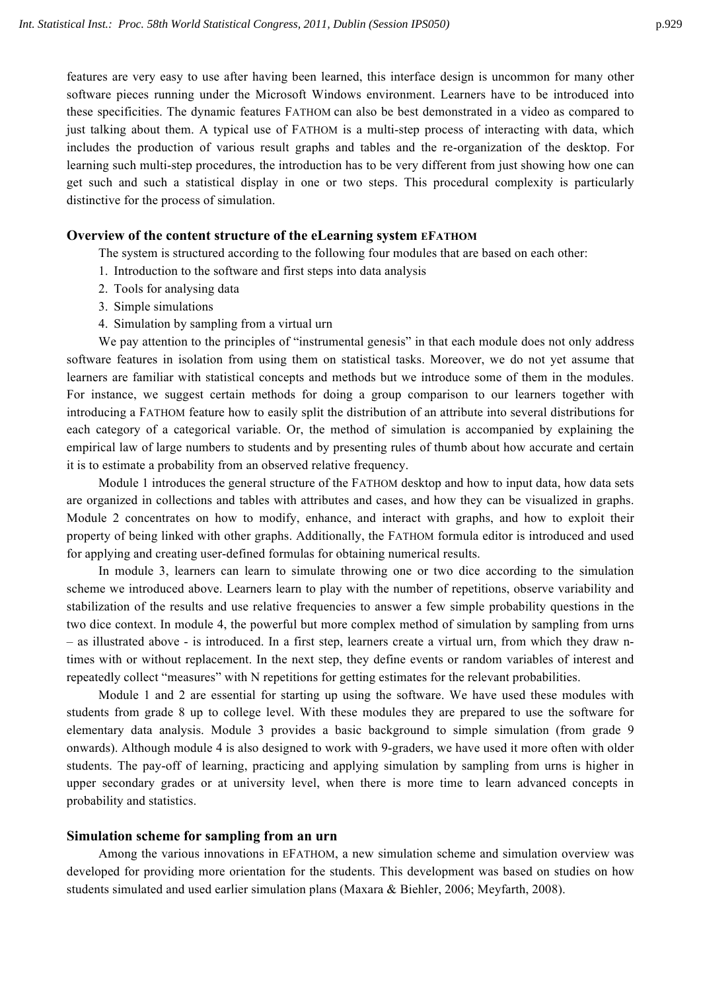features are very easy to use after having been learned, this interface design is uncommon for many other software pieces running under the Microsoft Windows environment. Learners have to be introduced into these specificities. The dynamic features FATHOM can also be best demonstrated in a video as compared to just talking about them. A typical use of FATHOM is a multi-step process of interacting with data, which includes the production of various result graphs and tables and the re-organization of the desktop. For learning such multi-step procedures, the introduction has to be very different from just showing how one can get such and such a statistical display in one or two steps. This procedural complexity is particularly distinctive for the process of simulation.

# **Overview of the content structure of the eLearning system EFATHOM**

The system is structured according to the following four modules that are based on each other:

- 1. Introduction to the software and first steps into data analysis
- 2. Tools for analysing data
- 3. Simple simulations
- 4. Simulation by sampling from a virtual urn

We pay attention to the principles of "instrumental genesis" in that each module does not only address software features in isolation from using them on statistical tasks. Moreover, we do not yet assume that learners are familiar with statistical concepts and methods but we introduce some of them in the modules. For instance, we suggest certain methods for doing a group comparison to our learners together with introducing a FATHOM feature how to easily split the distribution of an attribute into several distributions for each category of a categorical variable. Or, the method of simulation is accompanied by explaining the empirical law of large numbers to students and by presenting rules of thumb about how accurate and certain it is to estimate a probability from an observed relative frequency.

Module 1 introduces the general structure of the FATHOM desktop and how to input data, how data sets are organized in collections and tables with attributes and cases, and how they can be visualized in graphs. Module 2 concentrates on how to modify, enhance, and interact with graphs, and how to exploit their property of being linked with other graphs. Additionally, the FATHOM formula editor is introduced and used for applying and creating user-defined formulas for obtaining numerical results.

In module 3, learners can learn to simulate throwing one or two dice according to the simulation scheme we introduced above. Learners learn to play with the number of repetitions, observe variability and stabilization of the results and use relative frequencies to answer a few simple probability questions in the two dice context. In module 4, the powerful but more complex method of simulation by sampling from urns – as illustrated above - is introduced. In a first step, learners create a virtual urn, from which they draw ntimes with or without replacement. In the next step, they define events or random variables of interest and repeatedly collect "measures" with N repetitions for getting estimates for the relevant probabilities.

Module 1 and 2 are essential for starting up using the software. We have used these modules with students from grade 8 up to college level. With these modules they are prepared to use the software for elementary data analysis. Module 3 provides a basic background to simple simulation (from grade 9 onwards). Although module 4 is also designed to work with 9-graders, we have used it more often with older students. The pay-off of learning, practicing and applying simulation by sampling from urns is higher in upper secondary grades or at university level, when there is more time to learn advanced concepts in probability and statistics.

# **Simulation scheme for sampling from an urn**

Among the various innovations in EFATHOM, a new simulation scheme and simulation overview was developed for providing more orientation for the students. This development was based on studies on how students simulated and used earlier simulation plans (Maxara & Biehler, 2006; Meyfarth, 2008).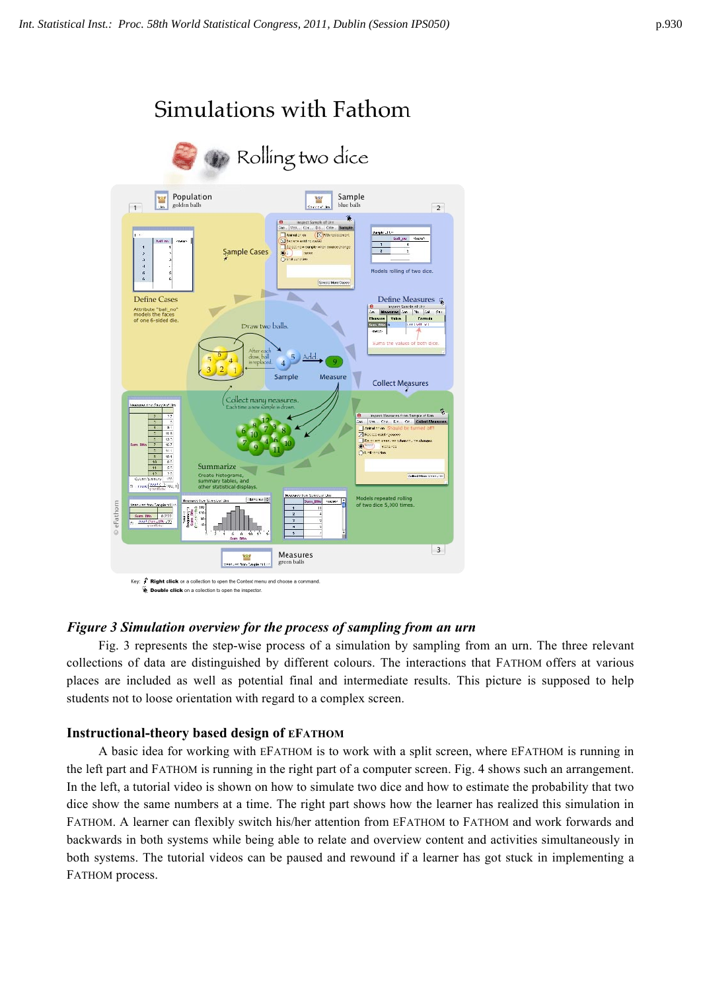

# *Figure 3 Simulation overview for the process of sampling from an urn*

Fig. 3 represents the step-wise process of a simulation by sampling from an urn. The three relevant collections of data are distinguished by different colours. The interactions that FATHOM offers at various places are included as well as potential final and intermediate results. This picture is supposed to help students not to loose orientation with regard to a complex screen.

# **Instructional-theory based design of EFATHOM**

A basic idea for working with EFATHOM is to work with a split screen, where EFATHOM is running in the left part and FATHOM is running in the right part of a computer screen. Fig. 4 shows such an arrangement. In the left, a tutorial video is shown on how to simulate two dice and how to estimate the probability that two dice show the same numbers at a time. The right part shows how the learner has realized this simulation in FATHOM. A learner can flexibly switch his/her attention from EFATHOM to FATHOM and work forwards and backwards in both systems while being able to relate and overview content and activities simultaneously in both systems. The tutorial videos can be paused and rewound if a learner has got stuck in implementing a FATHOM process.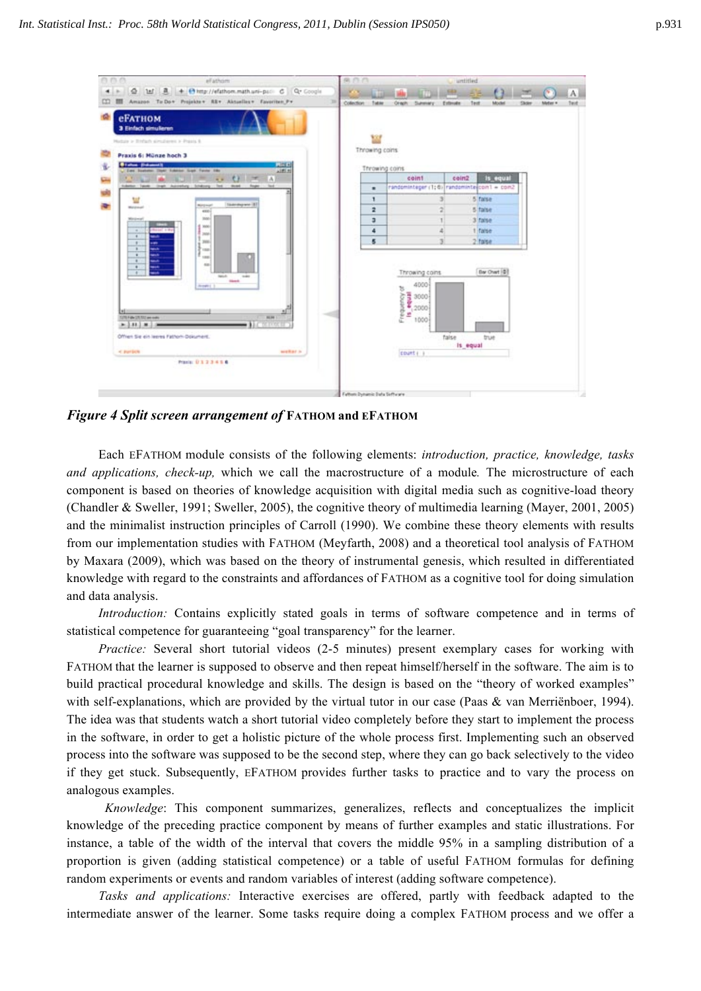

*Figure 4 Split screen arrangement of* **FATHOM and EFATHOM**

Each EFATHOM module consists of the following elements: *introduction, practice, knowledge, tasks and applications, check-up,* which we call the macrostructure of a module*.* The microstructure of each component is based on theories of knowledge acquisition with digital media such as cognitive-load theory (Chandler & Sweller, 1991; Sweller, 2005), the cognitive theory of multimedia learning (Mayer, 2001, 2005) and the minimalist instruction principles of Carroll (1990). We combine these theory elements with results from our implementation studies with FATHOM (Meyfarth, 2008) and a theoretical tool analysis of FATHOM by Maxara (2009), which was based on the theory of instrumental genesis, which resulted in differentiated knowledge with regard to the constraints and affordances of FATHOM as a cognitive tool for doing simulation and data analysis.

*Introduction:* Contains explicitly stated goals in terms of software competence and in terms of statistical competence for guaranteeing "goal transparency" for the learner.

*Practice:* Several short tutorial videos (2-5 minutes) present exemplary cases for working with FATHOM that the learner is supposed to observe and then repeat himself/herself in the software. The aim is to build practical procedural knowledge and skills. The design is based on the "theory of worked examples" with self-explanations, which are provided by the virtual tutor in our case (Paas & van Merriënboer, 1994). The idea was that students watch a short tutorial video completely before they start to implement the process in the software, in order to get a holistic picture of the whole process first. Implementing such an observed process into the software was supposed to be the second step, where they can go back selectively to the video if they get stuck. Subsequently, EFATHOM provides further tasks to practice and to vary the process on analogous examples.

*Knowledge*: This component summarizes, generalizes, reflects and conceptualizes the implicit knowledge of the preceding practice component by means of further examples and static illustrations. For instance, a table of the width of the interval that covers the middle 95% in a sampling distribution of a proportion is given (adding statistical competence) or a table of useful FATHOM formulas for defining random experiments or events and random variables of interest (adding software competence).

*Tasks and applications:* Interactive exercises are offered, partly with feedback adapted to the intermediate answer of the learner. Some tasks require doing a complex FATHOM process and we offer a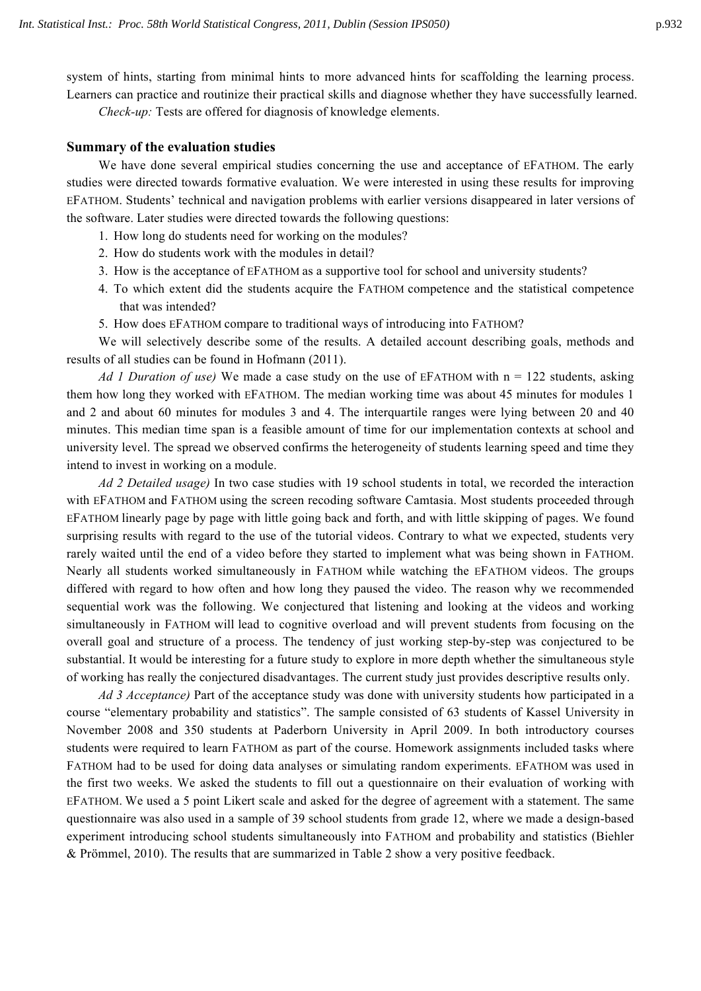system of hints, starting from minimal hints to more advanced hints for scaffolding the learning process. Learners can practice and routinize their practical skills and diagnose whether they have successfully learned.

*Check-up:* Tests are offered for diagnosis of knowledge elements.

## **Summary of the evaluation studies**

We have done several empirical studies concerning the use and acceptance of EFATHOM. The early studies were directed towards formative evaluation. We were interested in using these results for improving EFATHOM. Students' technical and navigation problems with earlier versions disappeared in later versions of the software. Later studies were directed towards the following questions:

- 1. How long do students need for working on the modules?
- 2. How do students work with the modules in detail?
- 3. How is the acceptance of EFATHOM as a supportive tool for school and university students?
- 4. To which extent did the students acquire the FATHOM competence and the statistical competence that was intended?
- 5. How does EFATHOM compare to traditional ways of introducing into FATHOM?

We will selectively describe some of the results. A detailed account describing goals, methods and results of all studies can be found in Hofmann (2011).

*Ad 1 Duration of use)* We made a case study on the use of EFATHOM with n = 122 students, asking them how long they worked with EFATHOM. The median working time was about 45 minutes for modules 1 and 2 and about 60 minutes for modules 3 and 4. The interquartile ranges were lying between 20 and 40 minutes. This median time span is a feasible amount of time for our implementation contexts at school and university level. The spread we observed confirms the heterogeneity of students learning speed and time they intend to invest in working on a module.

*Ad 2 Detailed usage)* In two case studies with 19 school students in total, we recorded the interaction with EFATHOM and FATHOM using the screen recoding software Camtasia. Most students proceeded through EFATHOM linearly page by page with little going back and forth, and with little skipping of pages. We found surprising results with regard to the use of the tutorial videos. Contrary to what we expected, students very rarely waited until the end of a video before they started to implement what was being shown in FATHOM. Nearly all students worked simultaneously in FATHOM while watching the EFATHOM videos. The groups differed with regard to how often and how long they paused the video. The reason why we recommended sequential work was the following. We conjectured that listening and looking at the videos and working simultaneously in FATHOM will lead to cognitive overload and will prevent students from focusing on the overall goal and structure of a process. The tendency of just working step-by-step was conjectured to be substantial. It would be interesting for a future study to explore in more depth whether the simultaneous style of working has really the conjectured disadvantages. The current study just provides descriptive results only.

*Ad 3 Acceptance)* Part of the acceptance study was done with university students how participated in a course "elementary probability and statistics". The sample consisted of 63 students of Kassel University in November 2008 and 350 students at Paderborn University in April 2009. In both introductory courses students were required to learn FATHOM as part of the course. Homework assignments included tasks where FATHOM had to be used for doing data analyses or simulating random experiments. EFATHOM was used in the first two weeks. We asked the students to fill out a questionnaire on their evaluation of working with EFATHOM. We used a 5 point Likert scale and asked for the degree of agreement with a statement. The same questionnaire was also used in a sample of 39 school students from grade 12, where we made a design-based experiment introducing school students simultaneously into FATHOM and probability and statistics (Biehler & Prömmel, 2010). The results that are summarized in Table 2 show a very positive feedback.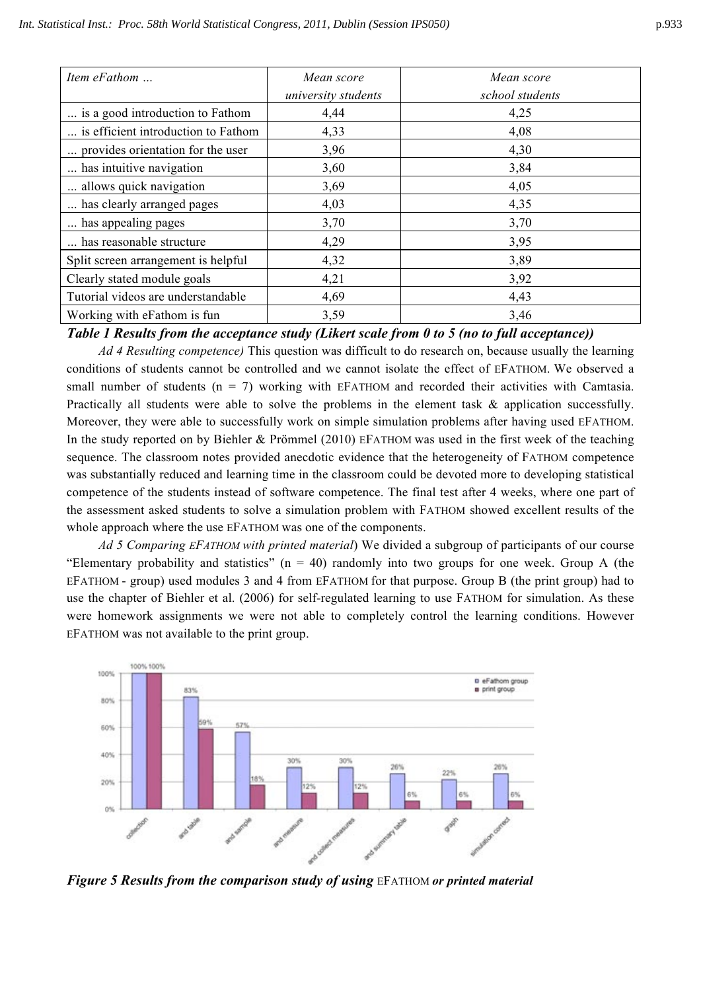| Item eFathom                        | Mean score          | Mean score      |
|-------------------------------------|---------------------|-----------------|
|                                     | university students | school students |
| is a good introduction to Fathom    | 4,44                | 4,25            |
| is efficient introduction to Fathom | 4,33                | 4,08            |
| provides orientation for the user   | 3,96                | 4,30            |
| has intuitive navigation            | 3,60                | 3,84            |
| allows quick navigation             | 3,69                | 4,05            |
| has clearly arranged pages          | 4,03                | 4,35            |
| has appealing pages                 | 3,70                | 3,70            |
| has reasonable structure            | 4,29                | 3,95            |
| Split screen arrangement is helpful | 4,32                | 3,89            |
| Clearly stated module goals         | 4,21                | 3,92            |
| Tutorial videos are understandable  | 4,69                | 4,43            |
| Working with eFathom is fun         | 3,59                | 3,46            |

*Table 1 Results from the acceptance study (Likert scale from 0 to 5 (no to full acceptance))*

*Ad 4 Resulting competence)* This question was difficult to do research on, because usually the learning conditions of students cannot be controlled and we cannot isolate the effect of EFATHOM. We observed a small number of students  $(n = 7)$  working with EFATHOM and recorded their activities with Camtasia. Practically all students were able to solve the problems in the element task & application successfully. Moreover, they were able to successfully work on simple simulation problems after having used EFATHOM. In the study reported on by Biehler & Prömmel (2010) EFATHOM was used in the first week of the teaching sequence. The classroom notes provided anecdotic evidence that the heterogeneity of FATHOM competence was substantially reduced and learning time in the classroom could be devoted more to developing statistical competence of the students instead of software competence. The final test after 4 weeks, where one part of the assessment asked students to solve a simulation problem with FATHOM showed excellent results of the whole approach where the use EFATHOM was one of the components.

*Ad 5 Comparing EFATHOM with printed material*) We divided a subgroup of participants of our course "Elementary probability and statistics"  $(n = 40)$  randomly into two groups for one week. Group A (the EFATHOM - group) used modules 3 and 4 from EFATHOM for that purpose. Group B (the print group) had to use the chapter of Biehler et al. (2006) for self-regulated learning to use FATHOM for simulation. As these were homework assignments we were not able to completely control the learning conditions. However EFATHOM was not available to the print group.



*Figure 5 Results from the comparison study of using* EFATHOM *or printed material*